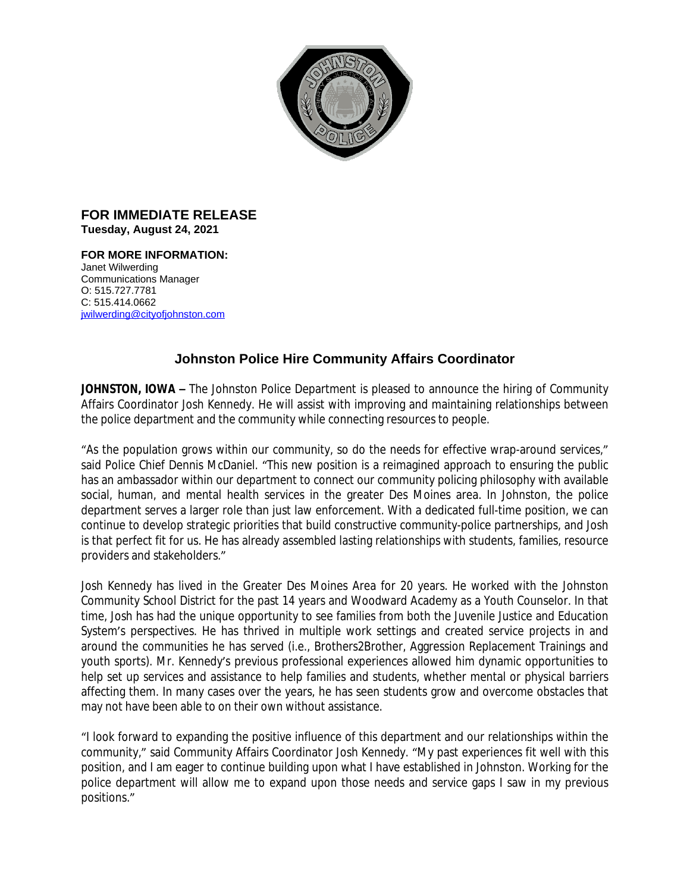

## **FOR IMMEDIATE RELEASE Tuesday, August 24, 2021**

**FOR MORE INFORMATION:**  Janet Wilwerding Communications Manager O: 515.727.7781 C: 515.414.0662 [jwilwerding@cityofjohnston.com](mailto:jwilwerding@cityofjohnston.com)

## **Johnston Police Hire Community Affairs Coordinator**

**JOHNSTON, IOWA –** The Johnston Police Department is pleased to announce the hiring of Community Affairs Coordinator Josh Kennedy. He will assist with improving and maintaining relationships between the police department and the community while connecting resources to people.

"As the population grows within our community, so do the needs for effective wrap-around services," said Police Chief Dennis McDaniel. "This new position is a reimagined approach to ensuring the public has an ambassador within our department to connect our community policing philosophy with available social, human, and mental health services in the greater Des Moines area. In Johnston, the police department serves a larger role than just law enforcement. With a dedicated full-time position, we can continue to develop strategic priorities that build constructive community-police partnerships, and Josh is that perfect fit for us. He has already assembled lasting relationships with students, families, resource providers and stakeholders."

Josh Kennedy has lived in the Greater Des Moines Area for 20 years. He worked with the Johnston Community School District for the past 14 years and Woodward Academy as a Youth Counselor. In that time, Josh has had the unique opportunity to see families from both the Juvenile Justice and Education System's perspectives. He has thrived in multiple work settings and created service projects in and around the communities he has served (i.e., Brothers2Brother, Aggression Replacement Trainings and youth sports). Mr. Kennedy's previous professional experiences allowed him dynamic opportunities to help set up services and assistance to help families and students, whether mental or physical barriers affecting them. In many cases over the years, he has seen students grow and overcome obstacles that may not have been able to on their own without assistance.

"I look forward to expanding the positive influence of this department and our relationships within the community," said Community Affairs Coordinator Josh Kennedy. "My past experiences fit well with this position, and I am eager to continue building upon what I have established in Johnston. Working for the police department will allow me to expand upon those needs and service gaps I saw in my previous positions."